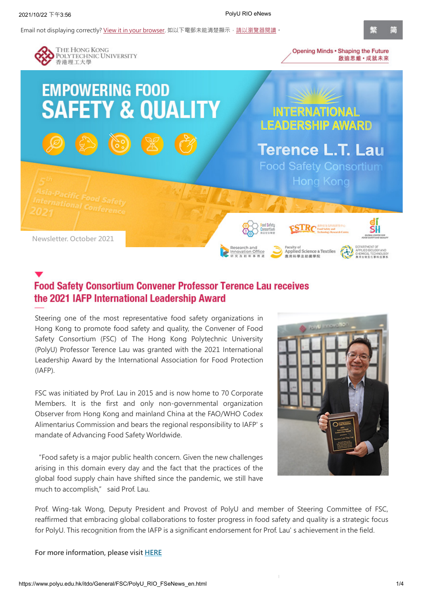Email not displaying correctly? [View it in your browser](https://www.polyu.edu.hk/itdo/General/FSC/PolyU_RIO_FSeNews_en.html). 如以下電郵未能清楚顯示, 請以瀏覽器閱讀。



## **Food Safety Consortium Convener Professor Terence Lau receives** the 2021 IAFP International Leadership Award

Steering one of the most representative food safety organizations in Hong Kong to promote food safety and quality, the Convener of Food Safety Consortium (FSC) of The Hong Kong Polytechnic University (PolyU) Professor Terence Lau was granted with the 2021 International Leadership Award by the International Association for Food Protection (IAFP).

FSC was initiated by Prof. Lau in 2015 and is now home to 70 Corporate Members. It is the first and only non-governmental organization Observer from Hong Kong and mainland China at the FAO/WHO Codex Alimentarius Commission and bears the regional responsibility to IAFP' s mandate of Advancing Food Safety Worldwide.

"Food safety is a major public health concern. Given the new challenges arising in this domain every day and the fact that the practices of the global food supply chain have shifted since the pandemic, we still have much to accomplish," said Prof. Lau.



Prof. Wing-tak Wong, Deputy President and Provost of PolyU and member of Steering Committee of FSC, reaffirmed that embracing global collaborations to foster progress in food safety and quality is a strategic focus for PolyU. This recognition from the IAFP is a significant endorsement for Prof. Lau' s achievement in the field.

**For more information, please visit [HERE](https://www.polyu.edu.hk/itdo/fsc/en/index/page-1-330)**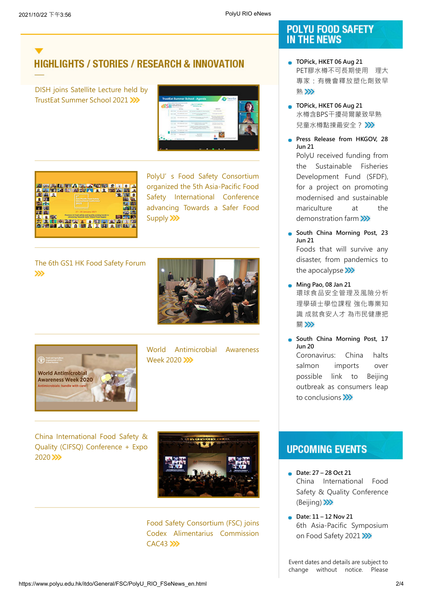# **HIGHLIGHTS / STORIES / RESEARCH & INNOVATION**

DISH joins Satellite Lecture held by [TrustEat Summer School 2021](https://www.polyu.edu.hk/itdo/fsc/en/index/page-1-331) >>>





PolyU's Food Safety Consortium organized the 5th Asia-Pacific Food Safety International Conference [advancing Towards a Safer Food](https://www.polyu.edu.hk/itdo/fsc/en/index/page-1-306) Supply >>>

[The 6th GS1 HK Food Safety Forum](https://www.polyu.edu.hk/itdo/fsc/en/index/page-1-322)   $\gg$ 





[World Antimicrobial Awareness](https://www.polyu.edu.hk/itdo/fsc/en/index/page-1-318) Week 2020 >>>

[China International Food Safety &](https://www.polyu.edu.hk/itdo/fsc/en/index/page-1-317) Quality (CIFSQ) Conference + Expo 2020 >>>



[Food Safety Consortium \(FSC\) joins](https://www.polyu.edu.hk/itdo/fsc/en/index/page-1-319) Codex Alimentarius Commission  $CAC43$ 

### POLYU FOOD SAFETY **IN THE NEWS**

- **TOPick, HKET 06 Aug 21** PET膠水樽不可長期使用 理大 [專家:有機會釋放塑化劑致早](https://topick.hket.com/article/3016214/?lcc=at) 熟》
- **TOPick, HKET 06 Aug 21** [水樽含BPS干擾荷爾蒙致早熟](https://topick.hket.com/article/3016242/?lcc=at)  兒童水樽點揀最安全?>>>
- **Press Release from HKGOV, 28 Jun 21** PolyU received funding from the Sustainable Fisheries [Development Fund \(SFDF\),](https://www.info.gov.hk/gia/general/202106/28/P2021062800766.htm?fontSize=1&fbclid=IwAR3OhwPuMsBjQhMr9M8CmjzT7RKOYDPj-og58c6jWVrAUVyuUUafZQdb08U) for a project on promoting modernised and sustainable mariculture at the demonstration farm >>>
- **South China Morning Post, 23 Jun 21** Foods that will survive any [disaster, from pandemics to](https://www.scmp.com/yp/discover/lifestyle/article/3138395/foods-will-survive-any-disaster-pandemics-apocalypse) the apocalypse >>>
- **Ming Pao, 08 Jan 21** [環球食品安全管理及風險分析](https://jump.mingpao.com/career-news/news/%E7%92%B0%E7%90%83%E9%A3%9F%E5%93%81%E5%AE%89%E5%85%A8%E7%AE%A1%E7%90%86%E5%8F%8A%E9%A2%A8%E9%9A%AA%E5%88%86%E6%9E%90%E7%90%86%E5%AD%B8%E7%A2%A9%E5%A3%AB%E5%AD%B8%E4%BD%8D%E8%AA%B2%E7%A8%8B/) 理學碩士學位課程 強化專業知 識 成就食安人才 為市民健康把 關》》
- **South China Morning Post, 17 Jun 20** Coronavirus: China halts salmon imports over [possible link to Beijing](https://www.scmp.com/news/china/society/article/3089320/coronavirus-china-halts-salmon-imports-over-possible-link) outbreak as consumers leap to conclusions

### **UPCOMING EVENTS**

- **Date: 27 – 28 Oct 21** China International Food [Safety & Quality Conference](http://www.chinafoodsafety.com/)  $(Beiiina)$
- **Date: 11 – 12 Nov 21** [6th Asia-Pacific Symposium](https://www.foodprotection.org/events-meetings/international-meetings/6th-asia-pacific-symposium-on-food-safety-2/) on Food Safety 2021 >>>

Event dates and details are subject to change without notice. Please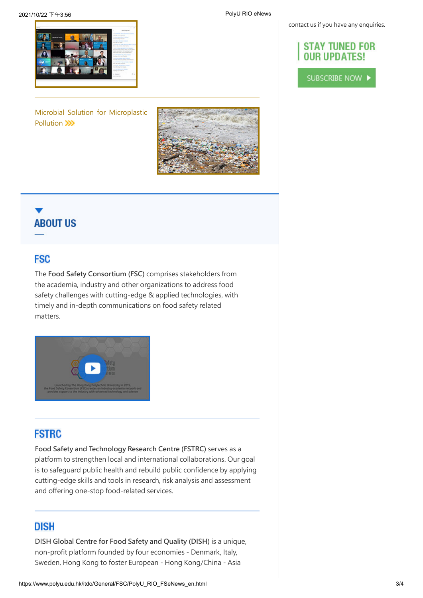contact us if you have any enquiries.

### **STAY TUNED FOR OUR UPDATES!**

SUBSCRIBE NOW



[Microbial Solution for Microplastic](https://polyu.hk/sDeui) Pollution >>>



# **ABOUT US**

### **FSC**

The **Food Safety Consortium (FSC)** comprises stakeholders from the academia, industry and other organizations to address food safety challenges with cutting-edge & applied technologies, with timely and in-depth communications on food safety related matters.



### **FSTRC**

**Food Safety and Technology Research Centre (FSTRC)** serves as a platform to strengthen local and international collaborations. Our goal is to safeguard public health and rebuild public confidence by applying cutting-edge skills and tools in research, risk analysis and assessment and offering one-stop food-related services.

### **DISH**

**DISH Global Centre for Food Safety and Quality (DISH)** is a unique, non-profit platform founded by four economies - Denmark, Italy, Sweden, Hong Kong to foster European - Hong Kong/China - Asia